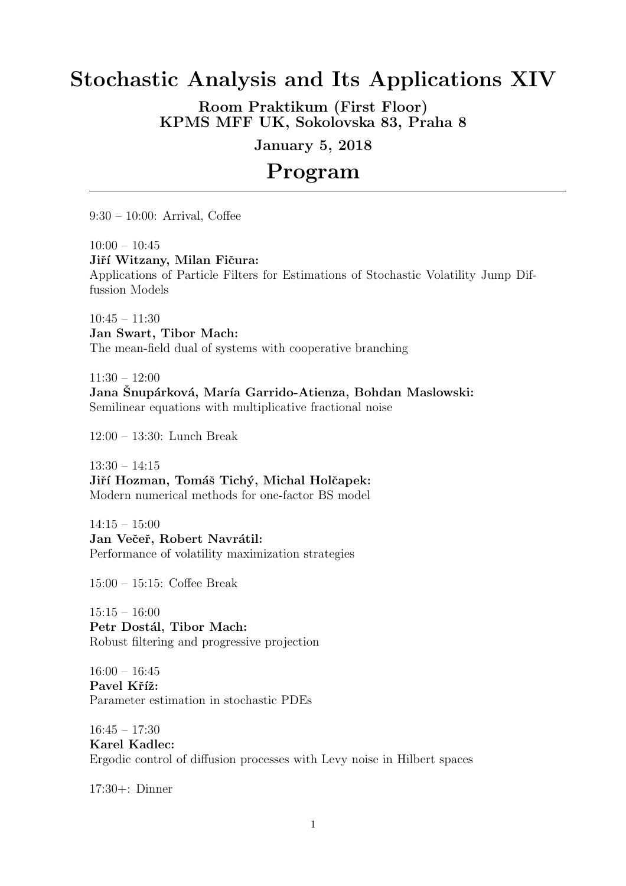## Stochastic Analysis and Its Applications XIV

Room Praktikum (First Floor) KPMS MFF UK, Sokolovska 83, Praha 8

January 5, 2018

# Program

9:30 – 10:00: Arrival, Coffee

 $10:00 - 10:45$ 

Jiří Witzany, Milan Fičura:

Applications of Particle Filters for Estimations of Stochastic Volatility Jump Diffussion Models

 $10:45 - 11:30$ Jan Swart, Tibor Mach: The mean-field dual of systems with cooperative branching

 $11:30 - 12:00$ Jana Šnupárková, María Garrido-Atienza, Bohdan Maslowski: Semilinear equations with multiplicative fractional noise

12:00 – 13:30: Lunch Break

13:30 – 14:15 Jiří Hozman, Tomáš Tichý, Michal Holčapek: Modern numerical methods for one-factor BS model

 $14:15 - 15:00$ Jan Večeř, Robert Navrátil: Performance of volatility maximization strategies

15:00 – 15:15: Coffee Break

15:15 – 16:00 Petr Dostál, Tibor Mach: Robust filtering and progressive projection

 $16:00 - 16:45$ Pavel Kříž: Parameter estimation in stochastic PDEs

16:45 – 17:30 Karel Kadlec: Ergodic control of diffusion processes with Levy noise in Hilbert spaces

17:30+: Dinner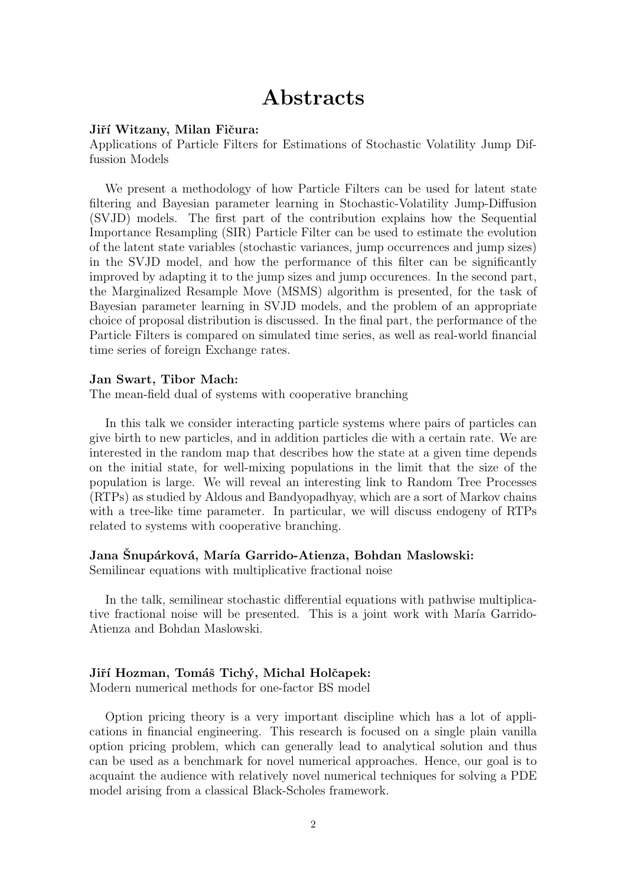### Abstracts

#### Jiří Witzany, Milan Fičura:

Applications of Particle Filters for Estimations of Stochastic Volatility Jump Diffussion Models

We present a methodology of how Particle Filters can be used for latent state filtering and Bayesian parameter learning in Stochastic-Volatility Jump-Diffusion (SVJD) models. The first part of the contribution explains how the Sequential Importance Resampling (SIR) Particle Filter can be used to estimate the evolution of the latent state variables (stochastic variances, jump occurrences and jump sizes) in the SVJD model, and how the performance of this filter can be significantly improved by adapting it to the jump sizes and jump occurences. In the second part, the Marginalized Resample Move (MSMS) algorithm is presented, for the task of Bayesian parameter learning in SVJD models, and the problem of an appropriate choice of proposal distribution is discussed. In the final part, the performance of the Particle Filters is compared on simulated time series, as well as real-world financial time series of foreign Exchange rates.

#### Jan Swart, Tibor Mach:

The mean-field dual of systems with cooperative branching

In this talk we consider interacting particle systems where pairs of particles can give birth to new particles, and in addition particles die with a certain rate. We are interested in the random map that describes how the state at a given time depends on the initial state, for well-mixing populations in the limit that the size of the population is large. We will reveal an interesting link to Random Tree Processes (RTPs) as studied by Aldous and Bandyopadhyay, which are a sort of Markov chains with a tree-like time parameter. In particular, we will discuss endogeny of RTPs related to systems with cooperative branching.

#### Jana Snupárková, María Garrido-Atienza, Bohdan Maslowski:

Semilinear equations with multiplicative fractional noise

In the talk, semilinear stochastic differential equations with pathwise multiplicative fractional noise will be presented. This is a joint work with María Garrido-Atienza and Bohdan Maslowski.

#### Jiří Hozman, Tomáš Tichý, Michal Holčapek:

Modern numerical methods for one-factor BS model

Option pricing theory is a very important discipline which has a lot of applications in financial engineering. This research is focused on a single plain vanilla option pricing problem, which can generally lead to analytical solution and thus can be used as a benchmark for novel numerical approaches. Hence, our goal is to acquaint the audience with relatively novel numerical techniques for solving a PDE model arising from a classical Black-Scholes framework.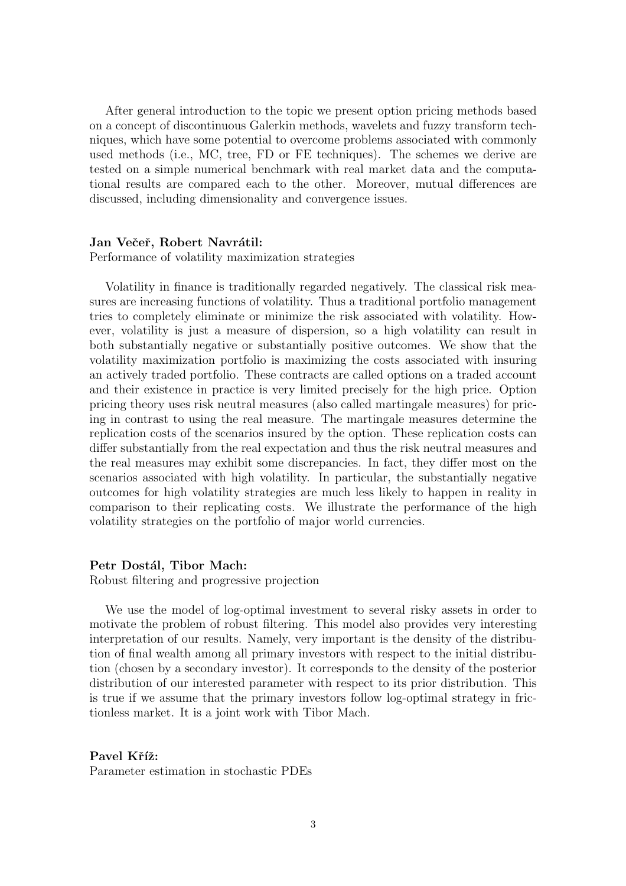After general introduction to the topic we present option pricing methods based on a concept of discontinuous Galerkin methods, wavelets and fuzzy transform techniques, which have some potential to overcome problems associated with commonly used methods (i.e., MC, tree, FD or FE techniques). The schemes we derive are tested on a simple numerical benchmark with real market data and the computational results are compared each to the other. Moreover, mutual differences are discussed, including dimensionality and convergence issues.

#### Jan Večeř, Robert Navrátil:

Performance of volatility maximization strategies

Volatility in finance is traditionally regarded negatively. The classical risk measures are increasing functions of volatility. Thus a traditional portfolio management tries to completely eliminate or minimize the risk associated with volatility. However, volatility is just a measure of dispersion, so a high volatility can result in both substantially negative or substantially positive outcomes. We show that the volatility maximization portfolio is maximizing the costs associated with insuring an actively traded portfolio. These contracts are called options on a traded account and their existence in practice is very limited precisely for the high price. Option pricing theory uses risk neutral measures (also called martingale measures) for pricing in contrast to using the real measure. The martingale measures determine the replication costs of the scenarios insured by the option. These replication costs can differ substantially from the real expectation and thus the risk neutral measures and the real measures may exhibit some discrepancies. In fact, they differ most on the scenarios associated with high volatility. In particular, the substantially negative outcomes for high volatility strategies are much less likely to happen in reality in comparison to their replicating costs. We illustrate the performance of the high volatility strategies on the portfolio of major world currencies.

#### Petr Dostál, Tibor Mach:

Robust filtering and progressive projection

We use the model of log-optimal investment to several risky assets in order to motivate the problem of robust filtering. This model also provides very interesting interpretation of our results. Namely, very important is the density of the distribution of final wealth among all primary investors with respect to the initial distribution (chosen by a secondary investor). It corresponds to the density of the posterior distribution of our interested parameter with respect to its prior distribution. This is true if we assume that the primary investors follow log-optimal strategy in frictionless market. It is a joint work with Tibor Mach.

Pavel Kříž: Parameter estimation in stochastic PDEs